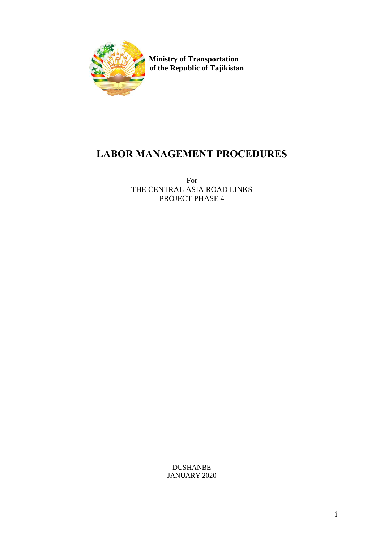

 **Ministry of Transportation of the Republic of Tajikistan** 

# **LABOR MANAGEMENT PROCEDURES**

For THE CENTRAL ASIA ROAD LINKS PROJECT PHASE 4

> DUSHANBE JANUARY 2020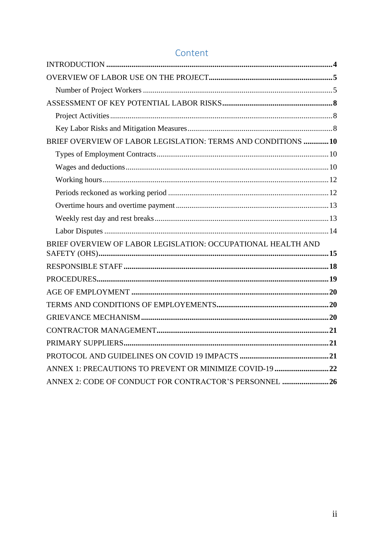| BRIEF OVERVIEW OF LABOR LEGISLATION: TERMS AND CONDITIONS 10 |  |
|--------------------------------------------------------------|--|
|                                                              |  |
|                                                              |  |
|                                                              |  |
|                                                              |  |
|                                                              |  |
|                                                              |  |
|                                                              |  |
| BRIEF OVERVIEW OF LABOR LEGISLATION: OCCUPATIONAL HEALTH AND |  |
|                                                              |  |
|                                                              |  |
|                                                              |  |
|                                                              |  |
|                                                              |  |
|                                                              |  |
|                                                              |  |
|                                                              |  |
|                                                              |  |
| ANNEX 1: PRECAUTIONS TO PREVENT OR MINIMIZE COVID-19 22      |  |
| ANNEX 2: CODE OF CONDUCT FOR CONTRACTOR'S PERSONNEL 26       |  |

# Content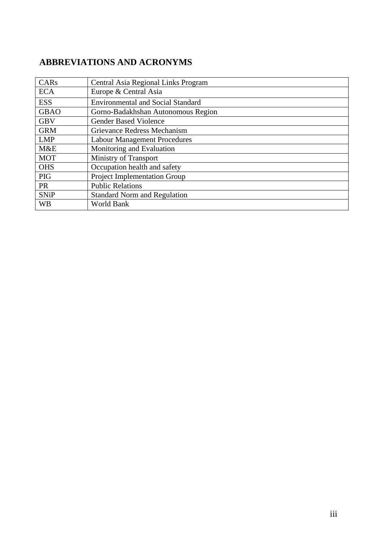# **ABBREVIATIONS AND ACRONYMS**

| CARs        | Central Asia Regional Links Program      |
|-------------|------------------------------------------|
| <b>ECA</b>  | Europe & Central Asia                    |
| <b>ESS</b>  | <b>Environmental and Social Standard</b> |
| <b>GBAO</b> | Gorno-Badakhshan Autonomous Region       |
| <b>GBV</b>  | <b>Gender Based Violence</b>             |
| <b>GRM</b>  | Grievance Redress Mechanism              |
| <b>LMP</b>  | <b>Labour Management Procedures</b>      |
| M&E         | Monitoring and Evaluation                |
| <b>MOT</b>  | <b>Ministry of Transport</b>             |
| <b>OHS</b>  | Occupation health and safety             |
| <b>PIG</b>  | Project Implementation Group             |
| <b>PR</b>   | <b>Public Relations</b>                  |
| <b>SNiP</b> | <b>Standard Norm and Regulation</b>      |
| <b>WB</b>   | World Bank                               |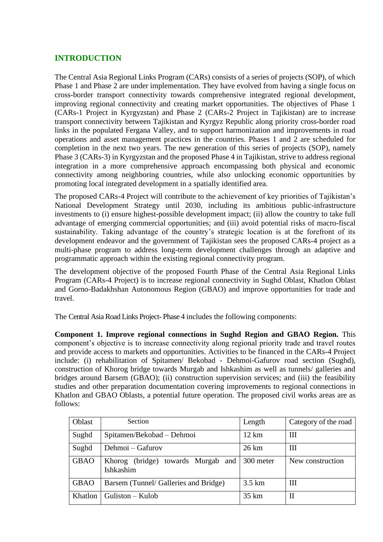# <span id="page-3-0"></span>**INTRODUCTION**

The Central Asia Regional Links Program (CARs) consists of a series of projects (SOP), of which Phase 1 and Phase 2 are under implementation. They have evolved from having a single focus on cross-border transport connectivity towards comprehensive integrated regional development, improving regional connectivity and creating market opportunities. The objectives of Phase 1 (CARs-1 Project in Kyrgyzstan) and Phase 2 (CARs-2 Project in Tajikistan) are to increase transport connectivity between Tajikistan and Kyrgyz Republic along priority cross-border road links in the populated Fergana Valley, and to support harmonization and improvements in road operations and asset management practices in the countries. Phases 1 and 2 are scheduled for completion in the next two years. The new generation of this series of projects (SOP), namely Phase 3 (CARs-3) in Kyrgyzstan and the proposed Phase 4 in Tajikistan, strive to address regional integration in a more comprehensive approach encompassing both physical and economic connectivity among neighboring countries, while also unlocking economic opportunities by promoting local integrated development in a spatially identified area.

The proposed CARs-4 Project will contribute to the achievement of key priorities of Tajikistan's National Development Strategy until 2030, including its ambitious public-infrastructure investments to (i) ensure highest-possible development impact; (ii) allow the country to take full advantage of emerging commercial opportunities; and (iii) avoid potential risks of macro-fiscal sustainability. Taking advantage of the country's strategic location is at the forefront of its development endeavor and the government of Tajikistan sees the proposed CARs-4 project as a multi-phase program to address long-term development challenges through an adaptive and programmatic approach within the existing regional connectivity program.

The development objective of the proposed Fourth Phase of the Central Asia Regional Links Program (CARs-4 Project) is to increase regional connectivity in Sughd Oblast, Khatlon Oblast and Gorno-Badakhshan Autonomous Region (GBAO) and improve opportunities for trade and travel.

The Central Asia Road Links Project- Phase 4 includes the following components:

**Component 1. Improve regional connections in Sughd Region and GBAO Region.** This component's objective is to increase connectivity along regional priority trade and travel routes and provide access to markets and opportunities. Activities to be financed in the CARs-4 Project include: (i) rehabilitation of Spitamen/ Bekobad - Dehmoi-Gafurov road section (Sughd), construction of Khorog bridge towards Murgab and Ishkashim as well as tunnels/ galleries and bridges around Barsem (GBAO); (ii) construction supervision services; and (iii) the feasibility studies and other preparation documentation covering improvements to regional connections in Khatlon and GBAO Oblasts, a potential future operation. The proposed civil works areas are as follows:

| Oblast      | Section                                         | Length            | Category of the road |
|-------------|-------------------------------------------------|-------------------|----------------------|
| Sughd       | Spitamen/Bekobad - Dehmoi                       | $12 \text{ km}$   | Ш                    |
| Sughd       | Dehmoi – Gafurov                                | $26 \mathrm{km}$  | Ш                    |
| <b>GBAO</b> | Khorog (bridge) towards Murgab and<br>Ishkashim | 300 meter         | New construction     |
| <b>GBAO</b> | Barsem (Tunnel/ Galleries and Bridge)           | $3.5 \mathrm{km}$ | Ш                    |
| Khatlon     | $Guliston-Kulob$                                | $35 \text{ km}$   | П                    |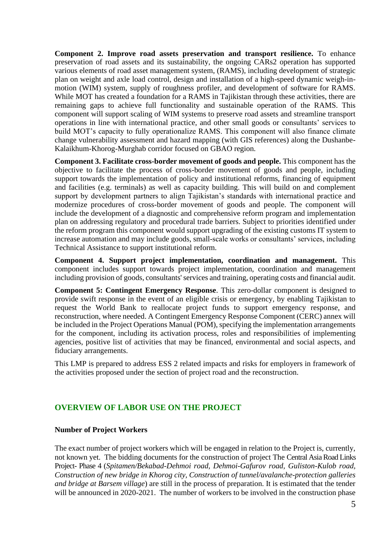**Component 2. Improve road assets preservation and transport resilience.** To enhance preservation of road assets and its sustainability, the ongoing CARs2 operation has supported various elements of road asset management system, (RAMS), including development of strategic plan on weight and axle load control, design and installation of a high-speed dynamic weigh-inmotion (WIM) system, supply of roughness profiler, and development of software for RAMS. While MOT has created a foundation for a RAMS in Tajikistan through these activities, there are remaining gaps to achieve full functionality and sustainable operation of the RAMS. This component will support scaling of WIM systems to preserve road assets and streamline transport operations in line with international practice, and other small goods or consultants' services to build MOT's capacity to fully operationalize RAMS. This component will also finance climate change vulnerability assessment and hazard mapping (with GIS references) along the Dushanbe-Kalaikhum-Khorog-Murghab corridor focused on GBAO region.

**Component 3. Facilitate cross-border movement of goods and people.** This component has the objective to facilitate the process of cross-border movement of goods and people, including support towards the implementation of policy and institutional reforms, financing of equipment and facilities (e.g. terminals) as well as capacity building. This will build on and complement support by development partners to align Tajikistan's standards with international practice and modernize procedures of cross-border movement of goods and people. The component will include the development of a diagnostic and comprehensive reform program and implementation plan on addressing regulatory and procedural trade barriers. Subject to priorities identified under the reform program this component would support upgrading of the existing customs IT system to increase automation and may include goods, small-scale works or consultants' services, including Technical Assistance to support institutional reform.

**Component 4. Support project implementation, coordination and management.** This component includes support towards project implementation, coordination and management including provision of goods, consultants' services and training, operating costs and financial audit.

**Component 5: Contingent Emergency Response**. This zero-dollar component is designed to provide swift response in the event of an eligible crisis or emergency, by enabling Tajikistan to request the World Bank to reallocate project funds to support emergency response, and reconstruction, where needed. A Contingent Emergency Response Component (CERC) annex will be included in the Project Operations Manual (POM), specifying the implementation arrangements for the component, including its activation process, roles and responsibilities of implementing agencies, positive list of activities that may be financed, environmental and social aspects, and fiduciary arrangements.

This LMP is prepared to address ESS 2 related impacts and risks for employers in framework of the activities proposed under the section of project road and the reconstruction.

# <span id="page-4-0"></span>**OVERVIEW OF LABOR USE ON THE PROJECT**

### <span id="page-4-1"></span>**Number of Project Workers**

The exact number of project workers which will be engaged in relation to the Project is, currently, not known yet. The bidding documents for the construction of project The Central Asia Road Links Project- Phase 4 (*Spitamen/Bekabad-Dehmoi road, Dehmoi-Gafurov road, Guliston-Kulob road, Construction of new bridge in Khorog city, Construction of tunnel/avalanche-protection galleries and bridge at Barsem village*) are still in the process of preparation. It is estimated that the tender will be announced in 2020-2021. The number of workers to be involved in the construction phase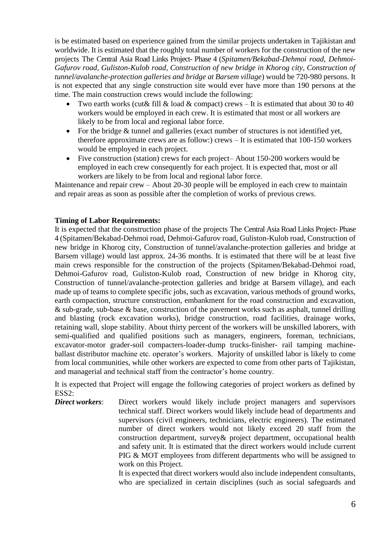is be estimated based on experience gained from the similar projects undertaken in Tajikistan and worldwide. It is estimated that the roughly total number of workers for the construction of the new projects The Central Asia Road Links Project- Phase 4 (*Spitamen/Bekabad-Dehmoi road, Dehmoi-Gafurov road, Guliston-Kulob road, Construction of new bridge in Khorog city, Construction of tunnel/avalanche-protection galleries and bridge at Barsem village*) would be 720-980 persons. It is not expected that any single construction site would ever have more than 190 persons at the time. The main construction crews would include the following:

- Two earth works (cut & fill & load & compact) crews It is estimated that about 30 to 40 workers would be employed in each crew. It is estimated that most or all workers are likely to be from local and regional labor force.
- For the bridge & tunnel and galleries (exact number of structures is not identified yet, therefore approximate crews are as follow:) crews – It is estimated that 100-150 workers would be employed in each project.
- Five construction (station) crews for each project– About 150-200 workers would be employed in each crew consequently for each project. It is expected that, most or all workers are likely to be from local and regional labor force.

Maintenance and repair crew – About 20-30 people will be employed in each crew to maintain and repair areas as soon as possible after the completion of works of previous crews.

### **Timing of Labor Requirements:**

It is expected that the construction phase of the projects The Central Asia Road Links Project- Phase 4 (Spitamen/Bekabad-Dehmoi road, Dehmoi-Gafurov road, Guliston-Kulob road, Construction of new bridge in Khorog city, Construction of tunnel/avalanche-protection galleries and bridge at Barsem village) would last approx. 24-36 months. It is estimated that there will be at least five main crews responsible for the construction of the projects (Spitamen/Bekabad-Dehmoi road, Dehmoi-Gafurov road, Guliston-Kulob road, Construction of new bridge in Khorog city, Construction of tunnel/avalanche-protection galleries and bridge at Barsem village), and each made up of teams to complete specific jobs, such as excavation, various methods of ground works, earth compaction, structure construction, embankment for the road construction and excavation,  $\&$  sub-grade, sub-base  $\&$  base, construction of the pavement works such as asphalt, tunnel drilling and blasting (rock excavation works), bridge construction, road facilities, drainage works, retaining wall, slope stability. About thirty percent of the workers will be unskilled laborers, with semi-qualified and qualified positions such as managers, engineers, foreman, technicians, excavator-motor grader-soil compacters-loader-dump trucks-finisher- rail tamping machineballast distributor machine etc. operator's workers. Majority of unskilled labor is likely to come from local communities, while other workers are expected to come from other parts of Tajikistan, and managerial and technical staff from the contractor's home country.

It is expected that Project will engage the following categories of project workers as defined by ESS2:

*Direct workers*: Direct workers would likely include project managers and supervisors technical staff. Direct workers would likely include head of departments and supervisors (civil engineers, technicians, electric engineers). The estimated number of direct workers would not likely exceed 20 staff from the construction department, survey& project department, occupational health and safety unit. It is estimated that the direct workers would include current PIG & MOT employees from different departments who will be assigned to work on this Project.

It is expected that direct workers would also include independent consultants, who are specialized in certain disciplines (such as social safeguards and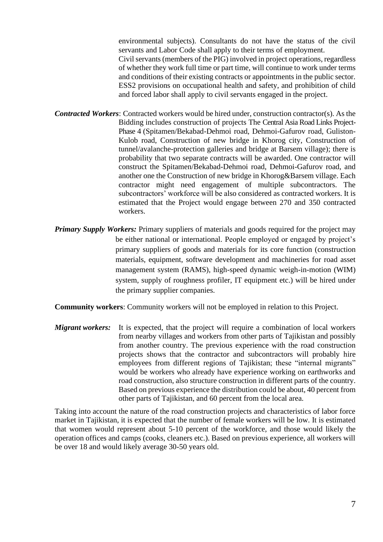environmental subjects). Consultants do not have the status of the civil servants and Labor Code shall apply to their terms of employment. Civil servants (members of the PIG) involved in project operations, regardless of whether they work full time or part time, will continue to work under terms and conditions of their existing contracts or appointments in the public sector. ESS2 provisions on occupational health and safety, and prohibition of child and forced labor shall apply to civil servants engaged in the project.

- *Contracted Workers*: Contracted workers would be hired under, construction contractor(s). As the Bidding includes construction of projects The Central Asia Road Links Project-Phase 4 (Spitamen/Bekabad-Dehmoi road, Dehmoi-Gafurov road, Guliston-Kulob road, Construction of new bridge in Khorog city, Construction of tunnel/avalanche-protection galleries and bridge at Barsem village); there is probability that two separate contracts will be awarded. One contractor will construct the Spitamen/Bekabad-Dehmoi road, Dehmoi-Gafurov road, and another one the Construction of new bridge in Khorog&Barsem village. Each contractor might need engagement of multiple subcontractors. The subcontractors' workforce will be also considered as contracted workers. It is estimated that the Project would engage between 270 and 350 contracted workers.
- *Primary Supply Workers:* Primary suppliers of materials and goods required for the project may be either national or international. People employed or engaged by project's primary suppliers of goods and materials for its core function (construction materials, equipment, software development and machineries for road asset management system (RAMS), high-speed dynamic weigh-in-motion (WIM) system, supply of roughness profiler, IT equipment etc.) will be hired under the primary supplier companies.

**Community workers**: Community workers will not be employed in relation to this Project.

*Migrant workers:* It is expected, that the project will require a combination of local workers from nearby villages and workers from other parts of Tajikistan and possibly from another country. The previous experience with the road construction projects shows that the contractor and subcontractors will probably hire employees from different regions of Tajikistan; these "internal migrants" would be workers who already have experience working on earthworks and road construction, also structure construction in different parts of the country. Based on previous experience the distribution could be about, 40 percent from other parts of Tajikistan, and 60 percent from the local area.

Taking into account the nature of the road construction projects and characteristics of labor force market in Tajikistan, it is expected that the number of female workers will be low. It is estimated that women would represent about 5-10 percent of the workforce, and those would likely the operation offices and camps (cooks, cleaners etc.). Based on previous experience, all workers will be over 18 and would likely average 30-50 years old.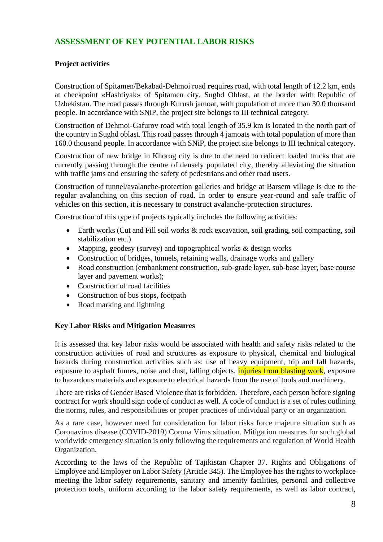# <span id="page-7-0"></span>**ASSESSMENT OF KEY POTENTIAL LABOR RISKS**

## <span id="page-7-1"></span>**Project activities**

Construction of Spitamen/Bekabad-Dehmoi road **r**equires road, with total length of 12.2 km, ends at checkpoint «Hashtiyak» of Spitamen city, Sughd Oblast, at the border with Republic of Uzbekistan. The road passes through Kurush jamoat, with population of more than 30.0 thousand people. In accordance with SNiP, the project site belongs to III technical category.

Construction of Dehmoi-Gafurov road with total length of 35.9 km is located in the north part of the country in Sughd oblast. This road passes through 4 jamoats with total population of more than 160.0 thousand people. In accordance with SNiP, the project site belongs to III technical category.

Construction of new bridge in Khorog city is due to the need to redirect loaded trucks that are currently passing through the centre of densely populated city, thereby alleviating the situation with traffic jams and ensuring the safety of pedestrians and other road users.

Construction of tunnel/avalanche-protection galleries and bridge at Barsem village is due to the regular avalanching on this section of road. In order to ensure year-round and safe traffic of vehicles on this section, it is necessary to construct avalanche-protection structures.

Construction of this type of projects typically includes the following activities:

- Earth works (Cut and Fill soil works & rock excavation, soil grading, soil compacting, soil stabilization etc.)
- Mapping, geodesy (survey) and topographical works & design works
- Construction of bridges, tunnels, retaining walls, drainage works and gallery
- Road construction (embankment construction, sub-grade layer, sub-base layer, base course layer and pavement works);
- Construction of road facilities
- Construction of bus stops, footpath
- Road marking and lightning

#### <span id="page-7-2"></span>**Key Labor Risks and Mitigation Measures**

It is assessed that key labor risks would be associated with health and safety risks related to the construction activities of road and structures as exposure to physical, chemical and biological hazards during construction activities such as: use of heavy equipment, trip and fall hazards, exposure to asphalt fumes, noise and dust, falling objects, *injuries from blasting work*, exposure to hazardous materials and exposure to electrical hazards from the use of tools and machinery.

There are risks of Gender Based Violence that is forbidden. Therefore, each person before signing contract for work should sign code of conduct as well. A code of conduct is a set of rules outlining the norms, rules, and responsibilities or proper practices of individual party or an organization.

As a rare case, however need for consideration for labor risks force majeure situation such as Coronavirus disease (COVID-2019) Corona Virus situation. Mitigation measures for such global worldwide emergency situation is only following the requirements and regulation of World Health Organization.

According to the laws of the Republic of Tajikistan Chapter 37. Rights and Obligations of Employee and Employer on Labor Safety (Article 345). The Employee has the rights to workplace meeting the labor safety requirements, sanitary and amenity facilities, personal and collective protection tools, uniform according to the labor safety requirements, as well as labor contract,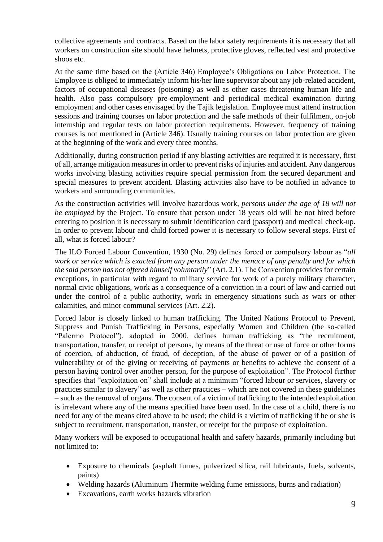collective agreements and contracts. Based on the labor safety requirements it is necessary that all workers on construction site should have helmets, protective gloves, reflected vest and protective shoos etc.

At the same time based on the (Article 346) Employee's Obligations on Labor Protection. The Employee is obliged to immediately inform his/her line supervisor about any job-related accident, factors of occupational diseases (poisoning) as well as other cases threatening human life and health. Also pass compulsory pre-employment and periodical medical examination during employment and other cases envisaged by the Tajik legislation. Employee must attend instruction sessions and training courses on labor protection and the safe methods of their fulfilment, on-job internship and regular tests on labor protection requirements. However, frequency of training courses is not mentioned in (Article 346). Usually training courses on labor protection are given at the beginning of the work and every three months.

Additionally, during construction period if any blasting activities are required it is necessary, first of all, arrange mitigation measures in order to prevent risks of injuries and accident. Any dangerous works involving blasting activities require special permission from the secured department and special measures to prevent accident. Blasting activities also have to be notified in advance to workers and surrounding communities.

As the construction activities will involve hazardous work, *persons under the age of 18 will not be employed* by the Project. To ensure that person under 18 years old will be not hired before entering to position it is necessary to submit identification card (passport) and medical check-up. In order to prevent labour and child forced power it is necessary to follow several steps. First of all, what is forced labour?

The ILO Forced Labour Convention, 1930 (No. 29) defines forced or compulsory labour as "*all work or service which is exacted from any person under the menace of any penalty and for which the said person has not offered himself voluntarily*" (Art. 2.1). The Convention provides for certain exceptions, in particular with regard to military service for work of a purely military character, normal civic obligations, work as a consequence of a conviction in a court of law and carried out under the control of a public authority, work in emergency situations such as wars or other calamities, and minor communal services (Art. 2.2).

Forced labor is closely linked to human trafficking. The United Nations Protocol to Prevent, Suppress and Punish Trafficking in Persons, especially Women and Children (the so-called "Palermo Protocol"), adopted in 2000, defines human trafficking as "the recruitment, transportation, transfer, or receipt of persons, by means of the threat or use of force or other forms of coercion, of abduction, of fraud, of deception, of the abuse of power or of a position of vulnerability or of the giving or receiving of payments or benefits to achieve the consent of a person having control over another person, for the purpose of exploitation". The Protocol further specifies that "exploitation on" shall include at a minimum "forced labour or services, slavery or practices similar to slavery" as well as other practices – which are not covered in these guidelines – such as the removal of organs. The consent of a victim of trafficking to the intended exploitation is irrelevant where any of the means specified have been used. In the case of a child, there is no need for any of the means cited above to be used; the child is a victim of trafficking if he or she is subject to recruitment, transportation, transfer, or receipt for the purpose of exploitation.

Many workers will be exposed to occupational health and safety hazards, primarily including but not limited to:

- Exposure to chemicals (asphalt fumes, pulverized silica, rail lubricants, fuels, solvents, paints)
- Welding hazards (Aluminum Thermite welding fume emissions, burns and radiation)
- Excavations, earth works hazards vibration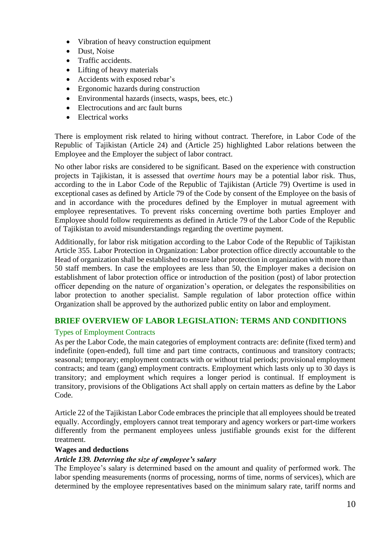- Vibration of heavy construction equipment
- Dust, Noise
- Traffic accidents.
- Lifting of heavy materials
- Accidents with exposed rebar's
- Ergonomic hazards during construction
- Environmental hazards (insects, wasps, bees, etc.)
- Electrocutions and arc fault burns
- Electrical works

There is employment risk related to hiring without contract. Therefore, in Labor Code of the Republic of Tajikistan (Article 24) and (Article 25) highlighted Labor relations between the Employee and the Employer the subject of labor contract.

No other labor risks are considered to be significant. Based on the experience with construction projects in Tajikistan, it is assessed that *overtime hours* may be a potential labor risk. Thus, according to the in Labor Code of the Republic of Tajikistan (Article 79) Overtime is used in exceptional cases as defined by Article 79 of the Code by consent of the Employee on the basis of and in accordance with the procedures defined by the Employer in mutual agreement with employee representatives. To prevent risks concerning overtime both parties Employer and Employee should follow requirements as defined in Article 79 of the Labor Code of the Republic of Tajikistan to avoid misunderstandings regarding the overtime payment.

Additionally, for labor risk mitigation according to the Labor Code of the Republic of Tajikistan Article 355. Labor Protection in Organization: Labor protection office directly accountable to the Head of organization shall be established to ensure labor protection in organization with more than 50 staff members. In case the employees are less than 50, the Employer makes a decision on establishment of labor protection office or introduction of the position (post) of labor protection officer depending on the nature of organization's operation, or delegates the responsibilities on labor protection to another specialist. Sample regulation of labor protection office within Organization shall be approved by the authorized public entity on labor and employment.

# <span id="page-9-0"></span>**BRIEF OVERVIEW OF LABOR LEGISLATION: TERMS AND CONDITIONS**

### <span id="page-9-1"></span>Types of Employment Contracts

As per the Labor Code, the main categories of employment contracts are: definite (fixed term) and indefinite (open-ended), full time and part time contracts, continuous and transitory contracts; seasonal; temporary; employment contracts with or without trial periods; provisional employment contracts; and team (gang) employment contracts. Employment which lasts only up to 30 days is transitory; and employment which requires a longer period is continual. If employment is transitory, provisions of the Obligations Act shall apply on certain matters as define by the Labor Code.

Article 22 of the Tajikistan Labor Code embraces the principle that all employees should be treated equally. Accordingly, employers cannot treat temporary and agency workers or part-time workers differently from the permanent employees unless justifiable grounds exist for the different treatment.

#### <span id="page-9-2"></span>**Wages and deductions**

#### *Article 139. Deterring the size of employee's salary*

The Employee's salary is determined based on the amount and quality of performed work. The labor spending measurements (norms of processing, norms of time, norms of services), which are determined by the employee representatives based on the minimum salary rate, tariff norms and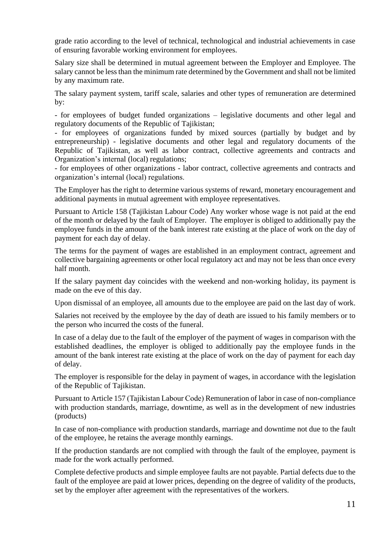grade ratio according to the level of technical, technological and industrial achievements in case of ensuring favorable working environment for employees.

Salary size shall be determined in mutual agreement between the Employer and Employee. The salary cannot be less than the minimum rate determined by the Government and shall not be limited by any maximum rate.

The salary payment system, tariff scale, salaries and other types of remuneration are determined by:

- for employees of budget funded organizations – legislative documents and other legal and regulatory documents of the Republic of Tajikistan;

- for employees of organizations funded by mixed sources (partially by budget and by entrepreneurship) - legislative documents and other legal and regulatory documents of the Republic of Tajikistan, as well as labor contract, collective agreements and contracts and Organization's internal (local) regulations;

- for employees of other organizations - labor contract, collective agreements and contracts and organization's internal (local) regulations.

The Employer has the right to determine various systems of reward, monetary encouragement and additional payments in mutual agreement with employee representatives.

Pursuant to Article 158 (Tajikistan Labour Code) Any worker whose wage is not paid at the end of the month or delayed by the fault of Employer. The employer is obliged to additionally pay the employee funds in the amount of the bank interest rate existing at the place of work on the day of payment for each day of delay.

The terms for the payment of wages are established in an employment contract, agreement and collective bargaining agreements or other local regulatory act and may not be less than once every half month.

If the salary payment day coincides with the weekend and non-working holiday, its payment is made on the eve of this day.

Upon dismissal of an employee, all amounts due to the employee are paid on the last day of work.

Salaries not received by the employee by the day of death are issued to his family members or to the person who incurred the costs of the funeral.

In case of a delay due to the fault of the employer of the payment of wages in comparison with the established deadlines, the employer is obliged to additionally pay the employee funds in the amount of the bank interest rate existing at the place of work on the day of payment for each day of delay.

The employer is responsible for the delay in payment of wages, in accordance with the legislation of the Republic of Tajikistan.

Pursuant to Article 157 (Tajikistan Labour Code) Remuneration of labor in case of non-compliance with production standards, marriage, downtime, as well as in the development of new industries (products)

In case of non-compliance with production standards, marriage and downtime not due to the fault of the employee, he retains the average monthly earnings.

If the production standards are not complied with through the fault of the employee, payment is made for the work actually performed.

Complete defective products and simple employee faults are not payable. Partial defects due to the fault of the employee are paid at lower prices, depending on the degree of validity of the products, set by the employer after agreement with the representatives of the workers.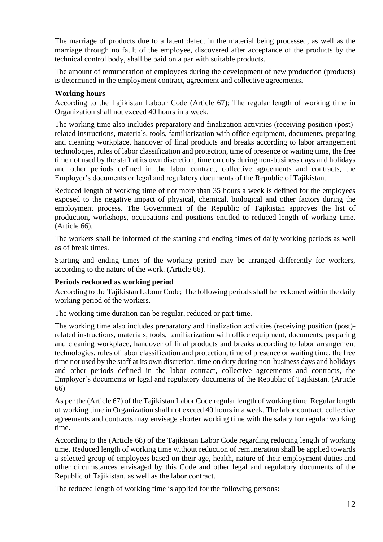The marriage of products due to a latent defect in the material being processed, as well as the marriage through no fault of the employee, discovered after acceptance of the products by the technical control body, shall be paid on a par with suitable products.

The amount of remuneration of employees during the development of new production (products) is determined in the employment contract, agreement and collective agreements.

### <span id="page-11-0"></span>**Working hours**

According to the Tajikistan Labour Code (Article 67); The regular length of working time in Organization shall not exceed 40 hours in a week.

The working time also includes preparatory and finalization activities (receiving position (post) related instructions, materials, tools, familiarization with office equipment, documents, preparing and cleaning workplace, handover of final products and breaks according to labor arrangement technologies, rules of labor classification and protection, time of presence or waiting time, the free time not used by the staff at its own discretion, time on duty during non-business days and holidays and other periods defined in the labor contract, collective agreements and contracts, the Employer's documents or legal and regulatory documents of the Republic of Tajikistan.

Reduced length of working time of not more than 35 hours a week is defined for the employees exposed to the negative impact of physical, chemical, biological and other factors during the employment process. The Government of the Republic of Tajikistan approves the list of production, workshops, occupations and positions entitled to reduced length of working time. (Article 66).

The workers shall be informed of the starting and ending times of daily working periods as well as of break times.

Starting and ending times of the working period may be arranged differently for workers, according to the nature of the work. (Article 66).

#### <span id="page-11-1"></span>**Periods reckoned as working period**

According to the Tajikistan Labour Code; The following periods shall be reckoned within the daily working period of the workers.

The working time duration can be regular, reduced or part-time.

The working time also includes preparatory and finalization activities (receiving position (post) related instructions, materials, tools, familiarization with office equipment, documents, preparing and cleaning workplace, handover of final products and breaks according to labor arrangement technologies, rules of labor classification and protection, time of presence or waiting time, the free time not used by the staff at its own discretion, time on duty during non-business days and holidays and other periods defined in the labor contract, collective agreements and contracts, the Employer's documents or legal and regulatory documents of the Republic of Tajikistan. (Article 66)

As per the (Article 67) of the Tajikistan Labor Code regular length of working time. Regular length of working time in Organization shall not exceed 40 hours in a week. The labor contract, collective agreements and contracts may envisage shorter working time with the salary for regular working time.

According to the (Article 68) of the Tajikistan Labor Code regarding reducing length of working time. Reduced length of working time without reduction of remuneration shall be applied towards a selected group of employees based on their age, health, nature of their employment duties and other circumstances envisaged by this Code and other legal and regulatory documents of the Republic of Tajikistan, as well as the labor contract.

The reduced length of working time is applied for the following persons: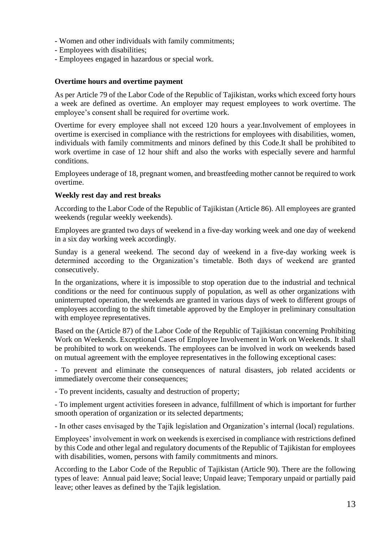- Women and other individuals with family commitments;
- Employees with disabilities;
- <span id="page-12-0"></span>- Employees engaged in hazardous or special work.

#### **Overtime hours and overtime payment**

As per Article 79 of the Labor Code of the Republic of Tajikistan, works which exceed forty hours a week are defined as overtime. An employer may request employees to work overtime. The employee's consent shall be required for overtime work.

Overtime for every employee shall not exceed 120 hours a year.Involvement of employees in overtime is exercised in compliance with the restrictions for employees with disabilities, women, individuals with family commitments and minors defined by this Code.It shall be prohibited to work overtime in case of 12 hour shift and also the works with especially severe and harmful conditions.

Employees underage of 18, pregnant women, and breastfeeding mother cannot be required to work overtime.

#### <span id="page-12-1"></span>**Weekly rest day and rest breaks**

According to the Labor Code of the Republic of Tajikistan (Article 86). All employees are granted weekends (regular weekly weekends).

Employees are granted two days of weekend in a five-day working week and one day of weekend in a six day working week accordingly.

Sunday is a general weekend. The second day of weekend in a five-day working week is determined according to the Organization's timetable. Both days of weekend are granted consecutively.

In the organizations, where it is impossible to stop operation due to the industrial and technical conditions or the need for continuous supply of population, as well as other organizations with uninterrupted operation, the weekends are granted in various days of week to different groups of employees according to the shift timetable approved by the Employer in preliminary consultation with employee representatives.

Based on the (Article 87) of the Labor Code of the Republic of Tajikistan concerning Prohibiting Work on Weekends. Exceptional Cases of Employee Involvement in Work on Weekends. It shall be prohibited to work on weekends. The employees can be involved in work on weekends based on mutual agreement with the employee representatives in the following exceptional cases:

- To prevent and eliminate the consequences of natural disasters, job related accidents or immediately overcome their consequences:

- To prevent incidents, casualty and destruction of property;

- To implement urgent activities foreseen in advance, fulfillment of which is important for further smooth operation of organization or its selected departments;

- In other cases envisaged by the Tajik legislation and Organization's internal (local) regulations.

Employees' involvement in work on weekends is exercised in compliance with restrictions defined by this Code and other legal and regulatory documents of the Republic of Tajikistan for employees with disabilities, women, persons with family commitments and minors.

According to the Labor Code of the Republic of Tajikistan (Article 90). There are the following types of leave: Annual paid leave; Social leave; Unpaid leave; Temporary unpaid or partially paid leave; other leaves as defined by the Tajik legislation.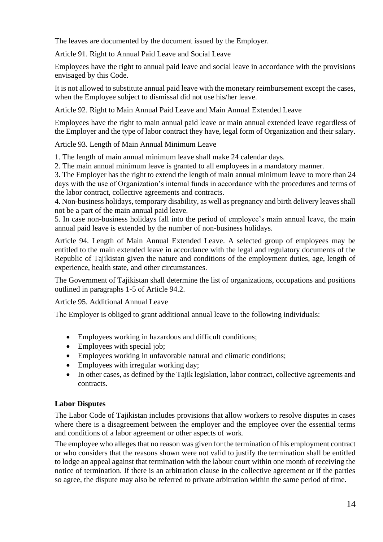The leaves are documented by the document issued by the Employer.

Article 91. Right to Annual Paid Leave and Social Leave

Employees have the right to annual paid leave and social leave in accordance with the provisions envisaged by this Code.

It is not allowed to substitute annual paid leave with the monetary reimbursement except the cases, when the Employee subject to dismissal did not use his/her leave.

Article 92. Right to Main Annual Paid Leave and Main Annual Extended Leave

Employees have the right to main annual paid leave or main annual extended leave regardless of the Employer and the type of labor contract they have, legal form of Organization and their salary.

Article 93. Length of Main Annual Minimum Leave

1. The length of main annual minimum leave shall make 24 calendar days.

2. The main annual minimum leave is granted to all employees in a mandatory manner.

3. The Employer has the right to extend the length of main annual minimum leave to more than 24 days with the use of Organization's internal funds in accordance with the procedures and terms of the labor contract, collective agreements and contracts.

4. Non-business holidays, temporary disability, as well as pregnancy and birth delivery leaves shall not be a part of the main annual paid leave.

5. In case non-business holidays fall into the period of employee's main annual leave, the main annual paid leave is extended by the number of non-business holidays.

Article 94. Length of Main Annual Extended Leave. A selected group of employees may be entitled to the main extended leave in accordance with the legal and regulatory documents of the Republic of Tajikistan given the nature and conditions of the employment duties, age, length of experience, health state, and other circumstances.

The Government of Tajikistan shall determine the list of organizations, occupations and positions outlined in paragraphs 1-5 of Article 94.2.

Article 95. Additional Annual Leave

The Employer is obliged to grant additional annual leave to the following individuals:

- Employees working in hazardous and difficult conditions;
- Employees with special job;
- Employees working in unfavorable natural and climatic conditions:
- Employees with irregular working day;
- In other cases, as defined by the Tajik legislation, labor contract, collective agreements and contracts.

# <span id="page-13-0"></span>**Labor Disputes**

The Labor Code of Tajikistan includes provisions that allow workers to resolve disputes in cases where there is a disagreement between the employer and the employee over the essential terms and conditions of a labor agreement or other aspects of work.

The employee who alleges that no reason was given for the termination of his employment contract or who considers that the reasons shown were not valid to justify the termination shall be entitled to lodge an appeal against that termination with the labour court within one month of receiving the notice of termination. If there is an arbitration clause in the collective agreement or if the parties so agree, the dispute may also be referred to private arbitration within the same period of time.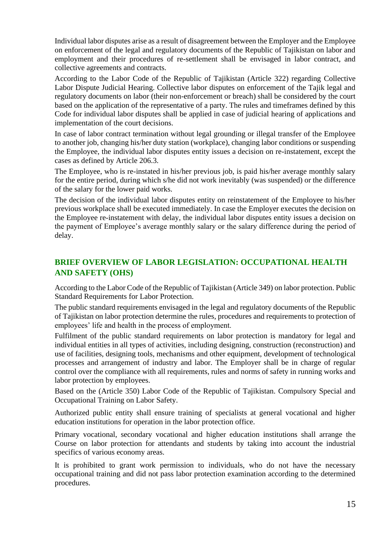Individual labor disputes arise as a result of disagreement between the Employer and the Employee on enforcement of the legal and regulatory documents of the Republic of Tajikistan on labor and employment and their procedures of re-settlement shall be envisaged in labor contract, and collective agreements and contracts.

According to the Labor Code of the Republic of Tajikistan (Article 322) regarding Collective Labor Dispute Judicial Hearing. Collective labor disputes on enforcement of the Tajik legal and regulatory documents on labor (their non-enforcement or breach) shall be considered by the court based on the application of the representative of a party. The rules and timeframes defined by this Code for individual labor disputes shall be applied in case of judicial hearing of applications and implementation of the court decisions.

In case of labor contract termination without legal grounding or illegal transfer of the Employee to another job, changing his/her duty station (workplace), changing labor conditions or suspending the Employee, the individual labor disputes entity issues a decision on re-instatement, except the cases as defined by Article 206.3.

The Employee, who is re-instated in his/her previous job, is paid his/her average monthly salary for the entire period, during which s/he did not work inevitably (was suspended) or the difference of the salary for the lower paid works.

The decision of the individual labor disputes entity on reinstatement of the Employee to his/her previous workplace shall be executed immediately. In case the Employer executes the decision on the Employee re-instatement with delay, the individual labor disputes entity issues a decision on the payment of Employee's average monthly salary or the salary difference during the period of delay.

# <span id="page-14-0"></span>**BRIEF OVERVIEW OF LABOR LEGISLATION: OCCUPATIONAL HEALTH AND SAFETY (OHS)**

According to the Labor Code of the Republic of Tajikistan (Article 349) on labor protection. Public Standard Requirements for Labor Protection.

The public standard requirements envisaged in the legal and regulatory documents of the Republic of Tajikistan on labor protection determine the rules, procedures and requirements to protection of employees' life and health in the process of employment.

Fulfilment of the public standard requirements on labor protection is mandatory for legal and individual entities in all types of activities, including designing, construction (reconstruction) and use of facilities, designing tools, mechanisms and other equipment, development of technological processes and arrangement of industry and labor. The Employer shall be in charge of regular control over the compliance with all requirements, rules and norms of safety in running works and labor protection by employees.

Based on the (Article 350) Labor Code of the Republic of Tajikistan. Compulsory Special and Occupational Training on Labor Safety.

Authorized public entity shall ensure training of specialists at general vocational and higher education institutions for operation in the labor protection office.

Primary vocational, secondary vocational and higher education institutions shall arrange the Course on labor protection for attendants and students by taking into account the industrial specifics of various economy areas.

It is prohibited to grant work permission to individuals, who do not have the necessary occupational training and did not pass labor protection examination according to the determined procedures.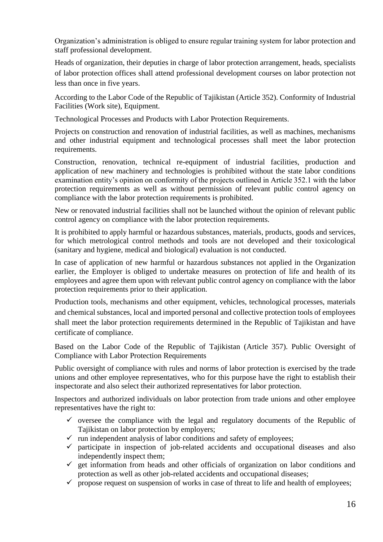Organization's administration is obliged to ensure regular training system for labor protection and staff professional development.

Heads of organization, their deputies in charge of labor protection arrangement, heads, specialists of labor protection offices shall attend professional development courses on labor protection not less than once in five years.

According to the Labor Code of the Republic of Tajikistan (Article 352). Conformity of Industrial Facilities (Work site), Equipment.

Technological Processes and Products with Labor Protection Requirements.

Projects on construction and renovation of industrial facilities, as well as machines, mechanisms and other industrial equipment and technological processes shall meet the labor protection requirements.

Construction, renovation, technical re-equipment of industrial facilities, production and application of new machinery and technologies is prohibited without the state labor conditions examination entity's opinion on conformity of the projects outlined in Article 352.1 with the labor protection requirements as well as without permission of relevant public control agency on compliance with the labor protection requirements is prohibited.

New or renovated industrial facilities shall not be launched without the opinion of relevant public control agency on compliance with the labor protection requirements.

It is prohibited to apply harmful or hazardous substances, materials, products, goods and services, for which metrological control methods and tools are not developed and their toxicological (sanitary and hygiene, medical and biological) evaluation is not conducted.

In case of application of new harmful or hazardous substances not applied in the Organization earlier, the Employer is obliged to undertake measures on protection of life and health of its employees and agree them upon with relevant public control agency on compliance with the labor protection requirements prior to their application.

Production tools, mechanisms and other equipment, vehicles, technological processes, materials and chemical substances, local and imported personal and collective protection tools of employees shall meet the labor protection requirements determined in the Republic of Tajikistan and have certificate of compliance.

Based on the Labor Code of the Republic of Tajikistan (Article 357). Public Oversight of Compliance with Labor Protection Requirements

Public oversight of compliance with rules and norms of labor protection is exercised by the trade unions and other employee representatives, who for this purpose have the right to establish their inspectorate and also select their authorized representatives for labor protection.

Inspectors and authorized individuals on labor protection from trade unions and other employee representatives have the right to:

- $\checkmark$  oversee the compliance with the legal and regulatory documents of the Republic of Tajikistan on labor protection by employers;
- $\checkmark$  run independent analysis of labor conditions and safety of employees;
- $\checkmark$  participate in inspection of job-related accidents and occupational diseases and also independently inspect them;
- $\checkmark$  get information from heads and other officials of organization on labor conditions and protection as well as other job-related accidents and occupational diseases;
- $\checkmark$  propose request on suspension of works in case of threat to life and health of employees;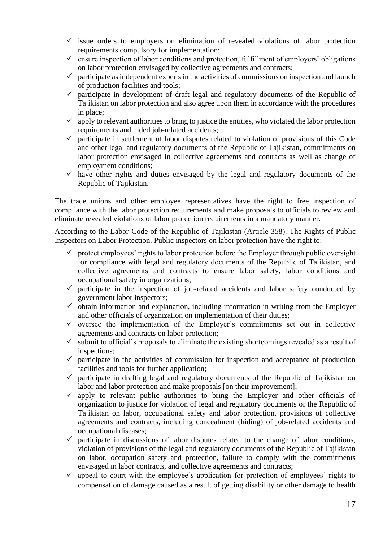- $\checkmark$  issue orders to employers on elimination of revealed violations of labor protection requirements compulsory for implementation;
- $\checkmark$  ensure inspection of labor conditions and protection, fulfillment of employers' obligations on labor protection envisaged by collective agreements and contracts;
- $\checkmark$  participate as independent experts in the activities of commissions on inspection and launch of production facilities and tools;
- $\checkmark$  participate in development of draft legal and regulatory documents of the Republic of Tajikistan on labor protection and also agree upon them in accordance with the procedures in place;
- $\checkmark$  apply to relevant authorities to bring to justice the entities, who violated the labor protection requirements and hided job-related accidents;
- $\checkmark$  participate in settlement of labor disputes related to violation of provisions of this Code and other legal and regulatory documents of the Republic of Tajikistan, commitments on labor protection envisaged in collective agreements and contracts as well as change of employment conditions;
- $\checkmark$  have other rights and duties envisaged by the legal and regulatory documents of the Republic of Tajikistan.

The trade unions and other employee representatives have the right to free inspection of compliance with the labor protection requirements and make proposals to officials to review and eliminate revealed violations of labor protection requirements in a mandatory manner.

According to the Labor Code of the Republic of Tajikistan (Article 358). The Rights of Public Inspectors on Labor Protection. Public inspectors on labor protection have the right to:

- $\checkmark$  protect employees' rights to labor protection before the Employer through public oversight for compliance with legal and regulatory documents of the Republic of Tajikistan, and collective agreements and contracts to ensure labor safety, labor conditions and occupational safety in organizations;
- $\checkmark$  participate in the inspection of job-related accidents and labor safety conducted by government labor inspectors;
- $\checkmark$  obtain information and explanation, including information in writing from the Employer and other officials of organization on implementation of their duties;
- $\checkmark$  oversee the implementation of the Employer's commitments set out in collective agreements and contracts on labor protection;
- $\checkmark$  submit to official's proposals to eliminate the existing shortcomings revealed as a result of inspections;
- $\checkmark$  participate in the activities of commission for inspection and acceptance of production facilities and tools for further application;
- $\checkmark$  participate in drafting legal and regulatory documents of the Republic of Tajikistan on labor and labor protection and make proposals [on their improvement];
- $\checkmark$  apply to relevant public authorities to bring the Employer and other officials of organization to justice for violation of legal and regulatory documents of the Republic of Tajikistan on labor, occupational safety and labor protection, provisions of collective agreements and contracts, including concealment (hiding) of job-related accidents and occupational diseases;
- $\checkmark$  participate in discussions of labor disputes related to the change of labor conditions, violation of provisions of the legal and regulatory documents of the Republic of Tajikistan on labor, occupation safety and protection, failure to comply with the commitments envisaged in labor contracts, and collective agreements and contracts;
- $\checkmark$  appeal to court with the employee's application for protection of employees' rights to compensation of damage caused as a result of getting disability or other damage to health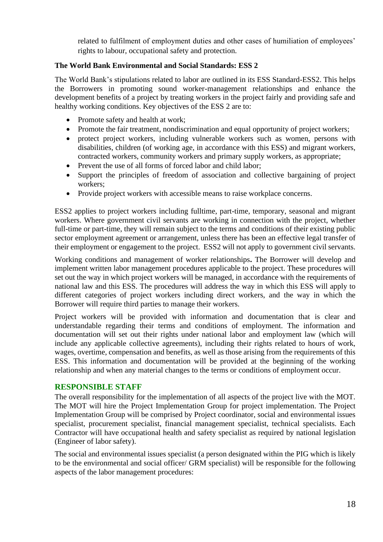related to fulfilment of employment duties and other cases of humiliation of employees' rights to labour, occupational safety and protection.

## **The World Bank Environmental and Social Standards: ESS 2**

The World Bank's stipulations related to labor are outlined in its ESS Standard-ESS2. This helps the Borrowers in promoting sound worker-management relationships and enhance the development benefits of a project by treating workers in the project fairly and providing safe and healthy working conditions. Key objectives of the ESS 2 are to:

- Promote safety and health at work;
- Promote the fair treatment, nondiscrimination and equal opportunity of project workers;
- protect project workers, including vulnerable workers such as women, persons with disabilities, children (of working age, in accordance with this ESS) and migrant workers, contracted workers, community workers and primary supply workers, as appropriate;
- Prevent the use of all forms of forced labor and child labor;
- Support the principles of freedom of association and collective bargaining of project workers;
- Provide project workers with accessible means to raise workplace concerns.

ESS2 applies to project workers including fulltime, part-time, temporary, seasonal and migrant workers. Where government civil servants are working in connection with the project, whether full-time or part-time, they will remain subject to the terms and conditions of their existing public sector employment agreement or arrangement, unless there has been an effective legal transfer of their employment or engagement to the project. ESS2 will not apply to government civil servants.

Working conditions and management of worker relationships**.** The Borrower will develop and implement written labor management procedures applicable to the project. These procedures will set out the way in which project workers will be managed, in accordance with the requirements of national law and this ESS. The procedures will address the way in which this ESS will apply to different categories of project workers including direct workers, and the way in which the Borrower will require third parties to manage their workers.

Project workers will be provided with information and documentation that is clear and understandable regarding their terms and conditions of employment. The information and documentation will set out their rights under national labor and employment law (which will include any applicable collective agreements), including their rights related to hours of work, wages, overtime, compensation and benefits, as well as those arising from the requirements of this ESS. This information and documentation will be provided at the beginning of the working relationship and when any material changes to the terms or conditions of employment occur.

# <span id="page-17-0"></span>**RESPONSIBLE STAFF**

The overall responsibility for the implementation of all aspects of the project live with the MOT. The MOT will hire the Project Implementation Group for project implementation. The Project Implementation Group will be comprised by Project coordinator, social and environmental issues specialist, procurement specialist, financial management specialist, technical specialists. Each Contractor will have occupational health and safety specialist as required by national legislation (Engineer of labor safety).

The social and environmental issues specialist (a person designated within the PIG which is likely to be the environmental and social officer/ GRM specialist) will be responsible for the following aspects of the labor management procedures: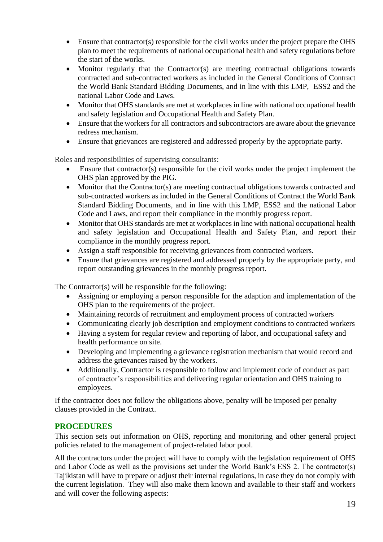- Ensure that contractor(s) responsible for the civil works under the project prepare the OHS plan to meet the requirements of national occupational health and safety regulations before the start of the works.
- Monitor regularly that the Contractor(s) are meeting contractual obligations towards contracted and sub-contracted workers as included in the General Conditions of Contract the World Bank Standard Bidding Documents, and in line with this LMP, ESS2 and the national Labor Code and Laws.
- Monitor that OHS standards are met at workplaces in line with national occupational health and safety legislation and Occupational Health and Safety Plan.
- Ensure that the workers for all contractors and subcontractors are aware about the grievance redress mechanism.
- Ensure that grievances are registered and addressed properly by the appropriate party.

Roles and responsibilities of supervising consultants:

- Ensure that contractor(s) responsible for the civil works under the project implement the OHS plan approved by the PIG.
- Monitor that the Contractor(s) are meeting contractual obligations towards contracted and sub-contracted workers as included in the General Conditions of Contract the World Bank Standard Bidding Documents, and in line with this LMP, ESS2 and the national Labor Code and Laws, and report their compliance in the monthly progress report.
- Monitor that OHS standards are met at workplaces in line with national occupational health and safety legislation and Occupational Health and Safety Plan, and report their compliance in the monthly progress report.
- Assign a staff responsible for receiving grievances from contracted workers.
- Ensure that grievances are registered and addressed properly by the appropriate party, and report outstanding grievances in the monthly progress report.

The Contractor(s) will be responsible for the following:

- Assigning or employing a person responsible for the adaption and implementation of the OHS plan to the requirements of the project.
- Maintaining records of recruitment and employment process of contracted workers
- Communicating clearly job description and employment conditions to contracted workers
- Having a system for regular review and reporting of labor, and occupational safety and health performance on site.
- Developing and implementing a grievance registration mechanism that would record and address the grievances raised by the workers.
- Additionally, Contractor is responsible to follow and implement code of conduct as part of contractor's responsibilities and delivering regular orientation and OHS training to employees.

If the contractor does not follow the obligations above, penalty will be imposed per penalty clauses provided in the Contract.

### <span id="page-18-0"></span>**PROCEDURES**

This section sets out information on OHS, reporting and monitoring and other general project policies related to the management of project-related labor pool.

All the contractors under the project will have to comply with the legislation requirement of OHS and Labor Code as well as the provisions set under the World Bank's ESS 2. The contractor(s) Tajikistan will have to prepare or adjust their internal regulations, in case they do not comply with the current legislation. They will also make them known and available to their staff and workers and will cover the following aspects: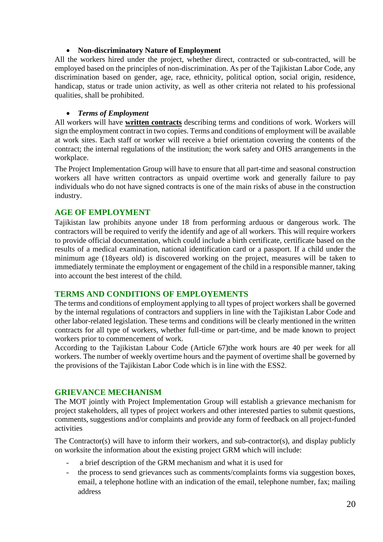### • **Non-discriminatory Nature of Employment**

All the workers hired under the project, whether direct, contracted or sub-contracted, will be employed based on the principles of non-discrimination. As per of the Tajikistan Labor Code, any discrimination based on gender, age, race, ethnicity, political option, social origin, residence, handicap, status or trade union activity, as well as other criteria not related to his professional qualities, shall be prohibited.

## • *Terms of Employment*

All workers will have **written contracts** describing terms and conditions of work. Workers will sign the employment contract in two copies. Terms and conditions of employment will be available at work sites. Each staff or worker will receive a brief orientation covering the contents of the contract; the internal regulations of the institution; the work safety and OHS arrangements in the workplace.

The Project Implementation Group will have to ensure that all part-time and seasonal construction workers all have written contractors as unpaid overtime work and generally failure to pay individuals who do not have signed contracts is one of the main risks of abuse in the construction industry.

# <span id="page-19-0"></span>**AGE OF EMPLOYMENT**

Tajikistan law prohibits anyone under 18 from performing arduous or dangerous work. The contractors will be required to verify the identify and age of all workers. This will require workers to provide official documentation, which could include a birth certificate, certificate based on the results of a medical examination, national identification card or a passport. If a child under the minimum age (18years old) is discovered working on the project, measures will be taken to immediately terminate the employment or engagement of the child in a responsible manner, taking into account the best interest of the child.

# <span id="page-19-1"></span>**TERMS AND CONDITIONS OF EMPLOYEMENTS**

The terms and conditions of employment applying to all types of project workers shall be governed by the internal regulations of contractors and suppliers in line with the Tajikistan Labor Code and other labor-related legislation. These terms and conditions will be clearly mentioned in the written contracts for all type of workers, whether full-time or part-time, and be made known to project workers prior to commencement of work.

According to the Tajikistan Labour Code (Article 67)the work hours are 40 per week for all workers. The number of weekly overtime hours and the payment of overtime shall be governed by the provisions of the Tajikistan Labor Code which is in line with the ESS2.

# <span id="page-19-2"></span>**GRIEVANCE MECHANISM**

The MOT jointly with Project Implementation Group will establish a grievance mechanism for project stakeholders, all types of project workers and other interested parties to submit questions, comments, suggestions and/or complaints and provide any form of feedback on all project-funded activities

The Contractor(s) will have to inform their workers, and sub-contractor(s), and display publicly on worksite the information about the existing project GRM which will include:

- a brief description of the GRM mechanism and what it is used for
- the process to send grievances such as comments/complaints forms via suggestion boxes, email, a telephone hotline with an indication of the email, telephone number, fax; mailing address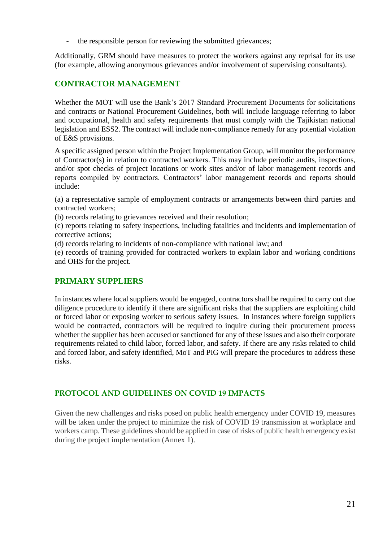the responsible person for reviewing the submitted grievances:

Additionally, GRM should have measures to protect the workers against any reprisal for its use (for example, allowing anonymous grievances and/or involvement of supervising consultants).

# <span id="page-20-0"></span>**CONTRACTOR MANAGEMENT**

Whether the MOT will use the Bank's 2017 Standard Procurement Documents for solicitations and contracts or National Procurement Guidelines, both will include language referring to labor and occupational, health and safety requirements that must comply with the Tajikistan national legislation and ESS2. The contract will include non-compliance remedy for any potential violation of E&S provisions.

A specific assigned person within the Project Implementation Group, will monitor the performance of Contractor(s) in relation to contracted workers. This may include periodic audits, inspections, and/or spot checks of project locations or work sites and/or of labor management records and reports compiled by contractors. Contractors' labor management records and reports should include:

(a) a representative sample of employment contracts or arrangements between third parties and contracted workers;

(b) records relating to grievances received and their resolution;

(c) reports relating to safety inspections, including fatalities and incidents and implementation of corrective actions;

(d) records relating to incidents of non-compliance with national law; and

(e) records of training provided for contracted workers to explain labor and working conditions and OHS for the project.

# <span id="page-20-1"></span>**PRIMARY SUPPLIERS**

In instances where local suppliers would be engaged, contractors shall be required to carry out due diligence procedure to identify if there are significant risks that the suppliers are exploiting child or forced labor or exposing worker to serious safety issues. In instances where foreign suppliers would be contracted, contractors will be required to inquire during their procurement process whether the supplier has been accused or sanctioned for any of these issues and also their corporate requirements related to child labor, forced labor, and safety. If there are any risks related to child and forced labor, and safety identified, MoT and PIG will prepare the procedures to address these risks.

# <span id="page-20-2"></span>**PROTOCOL AND GUIDELINES ON COVID 19 IMPACTS**

Given the new challenges and risks posed on public health emergency under COVID 19, measures will be taken under the project to minimize the risk of COVID 19 transmission at workplace and workers camp. These guidelines should be applied in case of risks of public health emergency exist during the project implementation (Annex 1).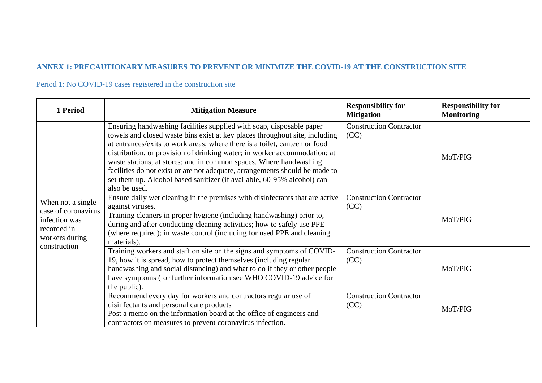# **ANNEX 1: PRECAUTIONARY MEASURES TO PREVENT OR MINIMIZE THE COVID-19 AT THE CONSTRUCTION SITE**

Period 1: No COVID-19 cases registered in the construction site

<span id="page-21-0"></span>

| 1 Period                                                                                                   | <b>Mitigation Measure</b>                                                                                                                                                                                                                                                                                                                                                                                                                                                                                                                                       | <b>Responsibility for</b><br><b>Mitigation</b> | <b>Responsibility for</b><br><b>Monitoring</b> |
|------------------------------------------------------------------------------------------------------------|-----------------------------------------------------------------------------------------------------------------------------------------------------------------------------------------------------------------------------------------------------------------------------------------------------------------------------------------------------------------------------------------------------------------------------------------------------------------------------------------------------------------------------------------------------------------|------------------------------------------------|------------------------------------------------|
| When not a single<br>case of coronavirus<br>infection was<br>recorded in<br>workers during<br>construction | Ensuring handwashing facilities supplied with soap, disposable paper<br>towels and closed waste bins exist at key places throughout site, including<br>at entrances/exits to work areas; where there is a toilet, canteen or food<br>distribution, or provision of drinking water; in worker accommodation; at<br>waste stations; at stores; and in common spaces. Where handwashing<br>facilities do not exist or are not adequate, arrangements should be made to<br>set them up. Alcohol based sanitizer (if available, 60-95% alcohol) can<br>also be used. | <b>Construction Contractor</b><br>(CC)         | MoT/PIG                                        |
|                                                                                                            | Ensure daily wet cleaning in the premises with disinfectants that are active<br>against viruses.<br>Training cleaners in proper hygiene (including handwashing) prior to,<br>during and after conducting cleaning activities; how to safely use PPE<br>(where required); in waste control (including for used PPE and cleaning<br>materials).                                                                                                                                                                                                                   | <b>Construction Contractor</b><br>(CC)         | MoT/PIG                                        |
|                                                                                                            | Training workers and staff on site on the signs and symptoms of COVID-<br>19, how it is spread, how to protect themselves (including regular<br>handwashing and social distancing) and what to do if they or other people<br>have symptoms (for further information see WHO COVID-19 advice for<br>the public).                                                                                                                                                                                                                                                 | <b>Construction Contractor</b><br>(CC)         | MoT/PIG                                        |
|                                                                                                            | Recommend every day for workers and contractors regular use of<br>disinfectants and personal care products<br>Post a memo on the information board at the office of engineers and<br>contractors on measures to prevent coronavirus infection.                                                                                                                                                                                                                                                                                                                  | <b>Construction Contractor</b><br>(CC)         | MoT/PIG                                        |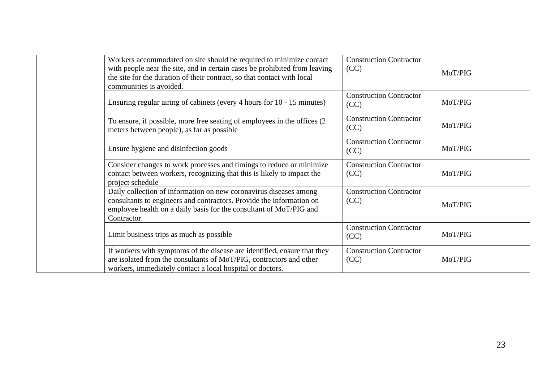| Workers accommodated on site should be required to minimize contact<br>with people near the site, and in certain cases be prohibited from leaving<br>the site for the duration of their contract, so that contact with local<br>communities is avoided. | <b>Construction Contractor</b><br>(CC) | MoT/PIG |
|---------------------------------------------------------------------------------------------------------------------------------------------------------------------------------------------------------------------------------------------------------|----------------------------------------|---------|
| Ensuring regular airing of cabinets (every 4 hours for 10 - 15 minutes)                                                                                                                                                                                 | <b>Construction Contractor</b><br>(CC) | MoT/PIG |
| To ensure, if possible, more free seating of employees in the offices (2)<br>meters between people), as far as possible                                                                                                                                 | <b>Construction Contractor</b><br>(CC) | MoT/PIG |
| Ensure hygiene and disinfection goods                                                                                                                                                                                                                   | <b>Construction Contractor</b><br>(CC) | MoT/PIG |
| Consider changes to work processes and timings to reduce or minimize<br>contact between workers, recognizing that this is likely to impact the<br>project schedule                                                                                      | <b>Construction Contractor</b><br>(CC) | MoT/PIG |
| Daily collection of information on new coronavirus diseases among<br>consultants to engineers and contractors. Provide the information on<br>employee health on a daily basis for the consultant of MoT/PIG and<br>Contractor.                          | <b>Construction Contractor</b><br>(CC) | MoT/PIG |
| Limit business trips as much as possible                                                                                                                                                                                                                | <b>Construction Contractor</b><br>(CC) | MoT/PIG |
| If workers with symptoms of the disease are identified, ensure that they<br>are isolated from the consultants of MoT/PIG, contractors and other<br>workers, immediately contact a local hospital or doctors.                                            | <b>Construction Contractor</b><br>(CC) | MoT/PIG |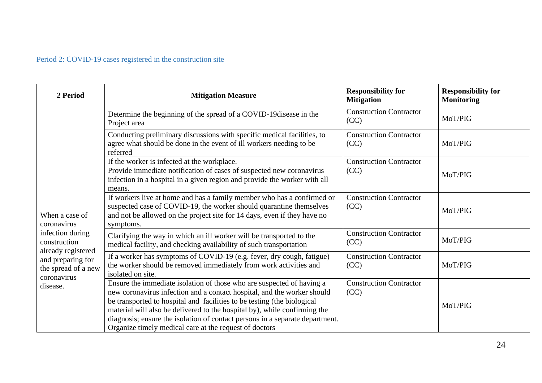# Period 2: COVID-19 cases registered in the construction site

| 2 Period                                                                                                                                                       | <b>Mitigation Measure</b>                                                                                                                                                                                                                                                                                                                                                                                                                          | <b>Responsibility for</b><br><b>Mitigation</b> | <b>Responsibility for</b><br><b>Monitoring</b> |
|----------------------------------------------------------------------------------------------------------------------------------------------------------------|----------------------------------------------------------------------------------------------------------------------------------------------------------------------------------------------------------------------------------------------------------------------------------------------------------------------------------------------------------------------------------------------------------------------------------------------------|------------------------------------------------|------------------------------------------------|
| When a case of<br>coronavirus<br>infection during<br>construction<br>already registered<br>and preparing for<br>the spread of a new<br>coronavirus<br>disease. | Determine the beginning of the spread of a COVID-19 disease in the<br>Project area                                                                                                                                                                                                                                                                                                                                                                 | <b>Construction Contractor</b><br>(CC)         | MoT/PIG                                        |
|                                                                                                                                                                | Conducting preliminary discussions with specific medical facilities, to<br>agree what should be done in the event of ill workers needing to be<br>referred                                                                                                                                                                                                                                                                                         | <b>Construction Contractor</b><br>(CC)         | MoT/PIG                                        |
|                                                                                                                                                                | If the worker is infected at the workplace.<br>Provide immediate notification of cases of suspected new coronavirus<br>infection in a hospital in a given region and provide the worker with all<br>means.                                                                                                                                                                                                                                         | <b>Construction Contractor</b><br>(CC)         | MoT/PIG                                        |
|                                                                                                                                                                | If workers live at home and has a family member who has a confirmed or<br>suspected case of COVID-19, the worker should quarantine themselves<br>and not be allowed on the project site for 14 days, even if they have no<br>symptoms.                                                                                                                                                                                                             | <b>Construction Contractor</b><br>(CC)         | MoT/PIG                                        |
|                                                                                                                                                                | Clarifying the way in which an ill worker will be transported to the<br>medical facility, and checking availability of such transportation                                                                                                                                                                                                                                                                                                         | <b>Construction Contractor</b><br>(CC)         | MoT/PIG                                        |
|                                                                                                                                                                | If a worker has symptoms of COVID-19 (e.g. fever, dry cough, fatigue)<br>the worker should be removed immediately from work activities and<br>isolated on site.                                                                                                                                                                                                                                                                                    | <b>Construction Contractor</b><br>(CC)         | MoT/PIG                                        |
|                                                                                                                                                                | Ensure the immediate isolation of those who are suspected of having a<br>new coronavirus infection and a contact hospital, and the worker should<br>be transported to hospital and facilities to be testing (the biological<br>material will also be delivered to the hospital by), while confirming the<br>diagnosis; ensure the isolation of contact persons in a separate department.<br>Organize timely medical care at the request of doctors | <b>Construction Contractor</b><br>(CC)         | MoT/PIG                                        |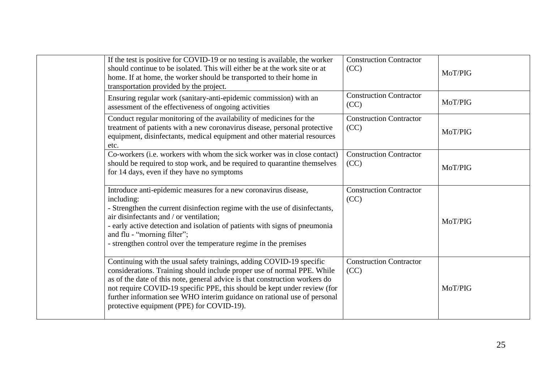| If the test is positive for COVID-19 or no testing is available, the worker<br>should continue to be isolated. This will either be at the work site or at<br>home. If at home, the worker should be transported to their home in<br>transportation provided by the project.                                                                                                                                                         | <b>Construction Contractor</b><br>(CC) | MoT/PIG |
|-------------------------------------------------------------------------------------------------------------------------------------------------------------------------------------------------------------------------------------------------------------------------------------------------------------------------------------------------------------------------------------------------------------------------------------|----------------------------------------|---------|
| Ensuring regular work (sanitary-anti-epidemic commission) with an<br>assessment of the effectiveness of ongoing activities                                                                                                                                                                                                                                                                                                          | <b>Construction Contractor</b><br>(CC) | MoT/PIG |
| Conduct regular monitoring of the availability of medicines for the<br>treatment of patients with a new coronavirus disease, personal protective<br>equipment, disinfectants, medical equipment and other material resources<br>etc.                                                                                                                                                                                                | <b>Construction Contractor</b><br>(CC) | MoT/PIG |
| Co-workers (i.e. workers with whom the sick worker was in close contact)<br>should be required to stop work, and be required to quarantine themselves<br>for 14 days, even if they have no symptoms                                                                                                                                                                                                                                 | <b>Construction Contractor</b><br>(CC) | MoT/PIG |
| Introduce anti-epidemic measures for a new coronavirus disease,<br>including:<br>- Strengthen the current disinfection regime with the use of disinfectants,<br>air disinfectants and / or ventilation;<br>- early active detection and isolation of patients with signs of pneumonia<br>and flu - "morning filter";<br>- strengthen control over the temperature regime in the premises                                            | <b>Construction Contractor</b><br>(CC) | MoT/PIG |
| Continuing with the usual safety trainings, adding COVID-19 specific<br>considerations. Training should include proper use of normal PPE. While<br>as of the date of this note, general advice is that construction workers do<br>not require COVID-19 specific PPE, this should be kept under review (for<br>further information see WHO interim guidance on rational use of personal<br>protective equipment (PPE) for COVID-19). | <b>Construction Contractor</b><br>(CC) | MoT/PIG |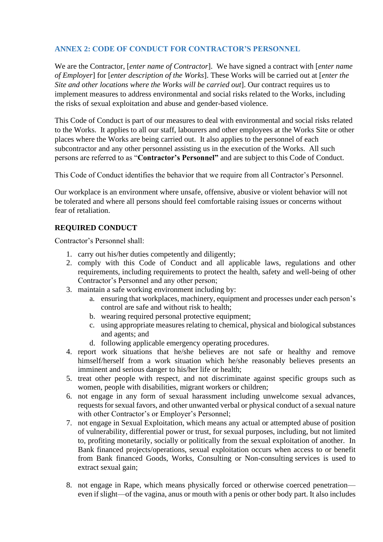## <span id="page-25-0"></span>**ANNEX 2: CODE OF CONDUCT FOR CONTRACTOR'S PERSONNEL**

We are the Contractor, [*enter name of Contractor*]. We have signed a contract with [*enter name of Employer*] for [*enter description of the Works*]. These Works will be carried out at [*enter the Site and other locations where the Works will be carried out*]. Our contract requires us to implement measures to address environmental and social risks related to the Works, including the risks of sexual exploitation and abuse and gender-based violence.

This Code of Conduct is part of our measures to deal with environmental and social risks related to the Works. It applies to all our staff, labourers and other employees at the Works Site or other places where the Works are being carried out. It also applies to the personnel of each subcontractor and any other personnel assisting us in the execution of the Works. All such persons are referred to as "**Contractor's Personnel"** and are subject to this Code of Conduct.

This Code of Conduct identifies the behavior that we require from all Contractor's Personnel.

Our workplace is an environment where unsafe, offensive, abusive or violent behavior will not be tolerated and where all persons should feel comfortable raising issues or concerns without fear of retaliation.

### **REQUIRED CONDUCT**

Contractor's Personnel shall:

- 1. carry out his/her duties competently and diligently;
- 2. comply with this Code of Conduct and all applicable laws, regulations and other requirements, including requirements to protect the health, safety and well-being of other Contractor's Personnel and any other person;
- 3. maintain a safe working environment including by:
	- a. ensuring that workplaces, machinery, equipment and processes under each person's control are safe and without risk to health;
	- b. wearing required personal protective equipment;
	- c. using appropriate measures relating to chemical, physical and biological substances and agents; and
	- d. following applicable emergency operating procedures.
- 4. report work situations that he/she believes are not safe or healthy and remove himself/herself from a work situation which he/she reasonably believes presents an imminent and serious danger to his/her life or health;
- 5. treat other people with respect, and not discriminate against specific groups such as women, people with disabilities, migrant workers or children;
- 6. not engage in any form of sexual harassment including unwelcome sexual advances, requests for sexual favors, and other unwanted verbal or physical conduct of a sexual nature with other Contractor's or Employer's Personnel;
- 7. not engage in Sexual Exploitation, which means any actual or attempted abuse of position of vulnerability, differential power or trust, for sexual purposes, including, but not limited to, profiting monetarily, socially or politically from the sexual exploitation of another. In Bank financed projects/operations, sexual exploitation occurs when access to or benefit from Bank financed Goods, Works, Consulting or Non-consulting services is used to extract sexual gain;
- 8. not engage in Rape, which means physically forced or otherwise coerced penetration even if slight—of the vagina, anus or mouth with a penis or other body part. It also includes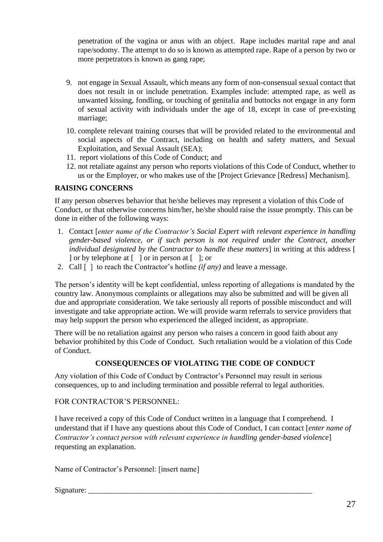penetration of the vagina or anus with an object. Rape includes marital rape and anal rape/sodomy. The attempt to do so is known as attempted rape. Rape of a person by two or more perpetrators is known as gang rape;

- 9. not engage in Sexual Assault, which means any form of non-consensual sexual contact that does not result in or include penetration. Examples include: attempted rape, as well as unwanted kissing, fondling, or touching of genitalia and buttocks not engage in any form of sexual activity with individuals under the age of 18, except in case of pre-existing marriage;
- 10. complete relevant training courses that will be provided related to the environmental and social aspects of the Contract, including on health and safety matters, and Sexual Exploitation, and Sexual Assault (SEA);
- 11. report violations of this Code of Conduct; and
- 12. not retaliate against any person who reports violations of this Code of Conduct, whether to us or the Employer, or who makes use of the [Project Grievance [Redress] Mechanism].

# **RAISING CONCERNS**

If any person observes behavior that he/she believes may represent a violation of this Code of Conduct, or that otherwise concerns him/her, he/she should raise the issue promptly. This can be done in either of the following ways:

- 1. Contact [*enter name of the Contractor's Social Expert with relevant experience in handling gender-based violence, or if such person is not required under the Contract, another individual designated by the Contractor to handle these matters*] in writing at this address [ ] or by telephone at [ ] or in person at [ ]; or
- 2. Call [ ] to reach the Contractor's hotline *(if any)* and leave a message.

The person's identity will be kept confidential, unless reporting of allegations is mandated by the country law. Anonymous complaints or allegations may also be submitted and will be given all due and appropriate consideration. We take seriously all reports of possible misconduct and will investigate and take appropriate action. We will provide warm referrals to service providers that may help support the person who experienced the alleged incident, as appropriate.

There will be no retaliation against any person who raises a concern in good faith about any behavior prohibited by this Code of Conduct. Such retaliation would be a violation of this Code of Conduct.

# **CONSEQUENCES OF VIOLATING THE CODE OF CONDUCT**

Any violation of this Code of Conduct by Contractor's Personnel may result in serious consequences, up to and including termination and possible referral to legal authorities.

FOR CONTRACTOR'S PERSONNEL:

I have received a copy of this Code of Conduct written in a language that I comprehend. I understand that if I have any questions about this Code of Conduct, I can contact [*enter name of Contractor's contact person with relevant experience in handling gender-based violence*] requesting an explanation.

Name of Contractor's Personnel: [insert name]

### $S$ ignature:  $\Box$